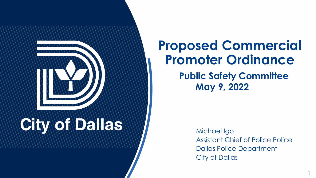

## **Proposed Commercial Promoter Ordinance**

**Public Safety Committee May 9, 2022**

> Michael Igo Assistant Chief of Police Police Dallas Police Department City of Dallas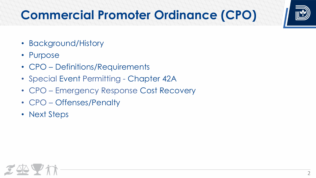

# **Commercial Promoter Ordinance (CPO)**

- Background/History
- Purpose
- CPO Definitions/Requirements
- Special Event Permitting Chapter 42A
- CPO Emergency Response Cost Recovery
- CPO Offenses/Penalty
- Next Steps



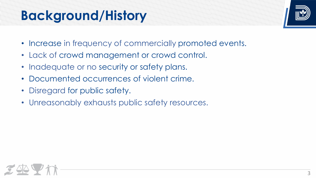# **Bokgkonownew Milsitomy**



- Increase in frequency of commercially promoted events.
- Lack of crowd management or crowd control.
- Inadequate or no security or safety plans.
- Documented occurrences of violent crime.
- Disregard for public safety.
- Unreasonably exhausts public safety resources.

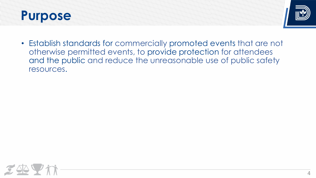#### **Prunpose**



• Establish standards for commercially promoted events that are not otherwise permitted events, to provide protection for attendees and the public and reduce the unreasonable use of public safety resources.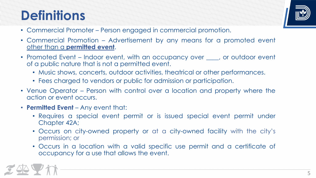## **Definitions**



- Commercial Promoter Person engaged in commercial promotion.
- Commercial Promotion Advertisement by any means for a promoted event other than a **permitted event**.
- Promoted Event Indoor event, with an occupancy over <u>equal</u>, or outdoor event of a public nature that is not a permitted event.
	- Music shows, concerts, outdoor activities, theatrical or other performances.
	- Fees charged to vendors or public for admission or participation.
- Venue Operator Person with control over a location and property where the action or event occurs.
- **Permitted Event** Any event that:
	- Requires a special event permit or is issued special event permit under Chapter 42A;
	- Occurs on city-owned property or at a city-owned facility with the city's permission; or
	- Occurs in a location with a valid specific use permit and a certificate of occupancy for a use that allows the event.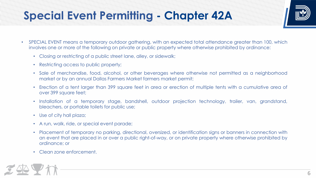

#### **ISpecient Permitting - Actor 42A**



- SPECIAL EVENT means a temporary outdoor gathering, with an expected total attendance greater than 100, which involves one or more of the following on private or public property where otherwise prohibited by ordinance:
	- Closing or restricting of a public street lane, alley, or sidewalk;
	- Restricting access to public property;
	- Sale of merchandise, food, alcohol, or other beverages where otherwise not permitted as a neighborhood market or by an annual Dallas Farmers Market farmers market permit;
	- Erection of a tent larger than 399 square feet in area or erection of multiple tents with a cumulative area of over 399 square feet;
	- Installation of a temporary stage, bandshell, outdoor projection technology, trailer, van, grandstand, bleachers, or portable toilets for public use;
	- Use of city hall plaza;
	- A run, walk, ride, or special event parade;
	- Placement of temporary no parking, directional, oversized, or identification signs or banners in connection with an event that are placed in or over a public right-of-way, or on private property where otherwise prohibited by ordinance; or
	- Clean zone enforcement.

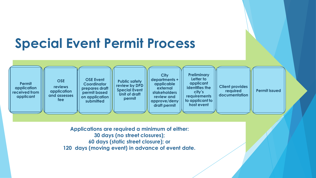#### **Permit application received from applicant OSE reviews application and assesses fee Public safety review by DPD Special Event Unit of draft permit Preliminary Letter to applicant identifies the city's requirements to applicant to host event Client provides required documentation Special Event Permit Process Permit Issued City departments + applicable external stakeholders review and approve/deny draft permit OSE Event Coordinator prepares draft permit based on application submitted**

**Applications are required a minimum of either: days (no street closures); days (static street closure); or days (moving event) in advance of event date.**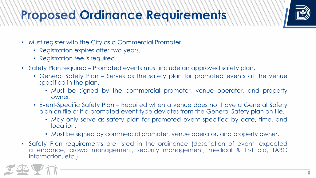#### **Proposed Ordinance Requirements**

- Must register with the City as a Commercial Promoter
	- Registration expires after two years.
	- Registration fee is required.
- Safety Plan required Promoted events must include an approved safety plan.
	- General Safety Plan Serves as the safety plan for promoted events at the venue specified in the plan.
		- Must be signed by the commercial promoter, venue operator, and property owner.
	- Event-Specific Safety Plan Required when a venue does not have a General Safety plan on file or if a promoted event type deviates from the General Safety plan on file.
		- May only serve as safety plan for promoted event specified by date, time, and location.
		- Must be signed by commercial promoter, venue operator, and property owner.
- Safety Plan requirements are listed in the ordinance (description of event, expected attendance, crowd management, security management, medical & first aid, TABC information, etc.).



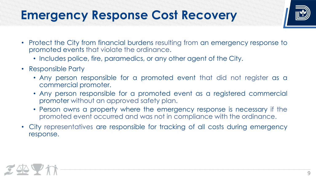

#### **Emergency Response Cost Recovery**



- Protect the City from financial burdens resulting from an emergency response to promoted events that violate the ordinance.
	- Includes police, fire, paramedics, or any other agent of the City.
- Responsible Party
	- Any person responsible for a promoted event that did not register as a commercial promoter.
	- Any person responsible for a promoted event as a registered commercial promoter without an approved safety plan.
	- Person owns a property where the emergency response is necessary if the promoted event occurred and was not in compliance with the ordinance.
- City representatives are responsible for tracking of all costs during emergency response.

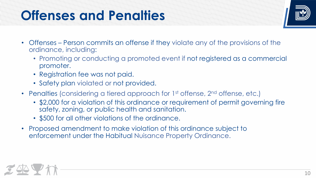# **Offenses to no their repart in the strong of the strong for the strong for the strong for the strong for the str**

- Offenses Person commits an offense if they violate any of the provisions of the ordinance, including:
	- Promoting or conducting a promoted event if not registered as a commercial promoter.
	- Registration fee was not paid.
	- Safety plan violated or not provided.
- Penalties (considering a tiered approach for 1<sup>st</sup> offense, 2<sup>nd</sup> offense, etc.)
	- \$2,000 for a violation of this ordinance or requirement of permit governing fire safety, zoning, or public health and sanitation.
	- \$500 for all other violations of the ordinance.
- Proposed amendment to make violation of this ordinance subject to enforcement under the Habitual Nuisance Property Ordinance.



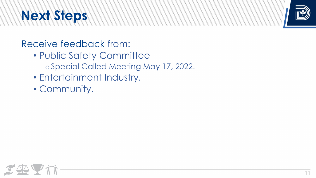# **Next Steps**



#### Receive feedback from:

- Public Safety Committee
	- o Special Called Meeting May 17, 2022.
- Entertainment Industry.
- Community.